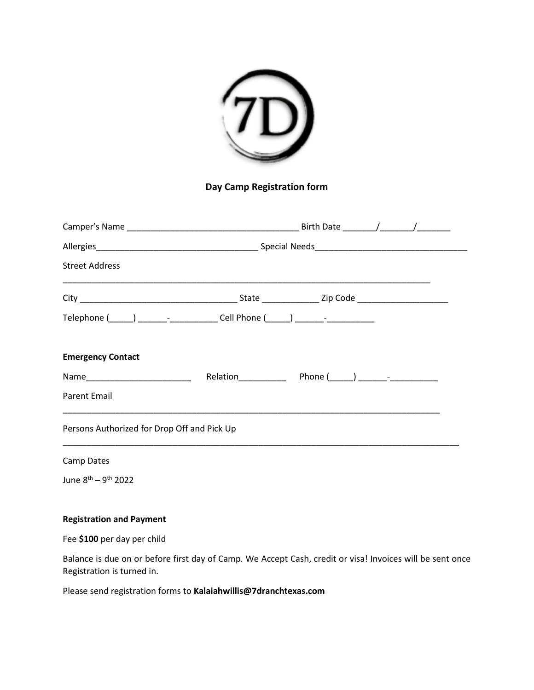

**Day Camp Registration form**

| <b>Street Address</b>                                                            |  |  |  |  |
|----------------------------------------------------------------------------------|--|--|--|--|
|                                                                                  |  |  |  |  |
| Telephone (_____) _______-______________Cell Phone (_____) _______-_____________ |  |  |  |  |
|                                                                                  |  |  |  |  |
| <b>Emergency Contact</b>                                                         |  |  |  |  |
|                                                                                  |  |  |  |  |
| <b>Parent Email</b>                                                              |  |  |  |  |
| Persons Authorized for Drop Off and Pick Up                                      |  |  |  |  |
| Camp Dates                                                                       |  |  |  |  |
| June 8 <sup>th</sup> – 9 <sup>th</sup> 2022                                      |  |  |  |  |

## **Registration and Payment**

Fee **\$100** per day per child

Balance is due on or before first day of Camp. We Accept Cash, credit or visa! Invoices will be sent once Registration is turned in.

Please send registration forms to **Kalaiahwillis@7dranchtexas.com**